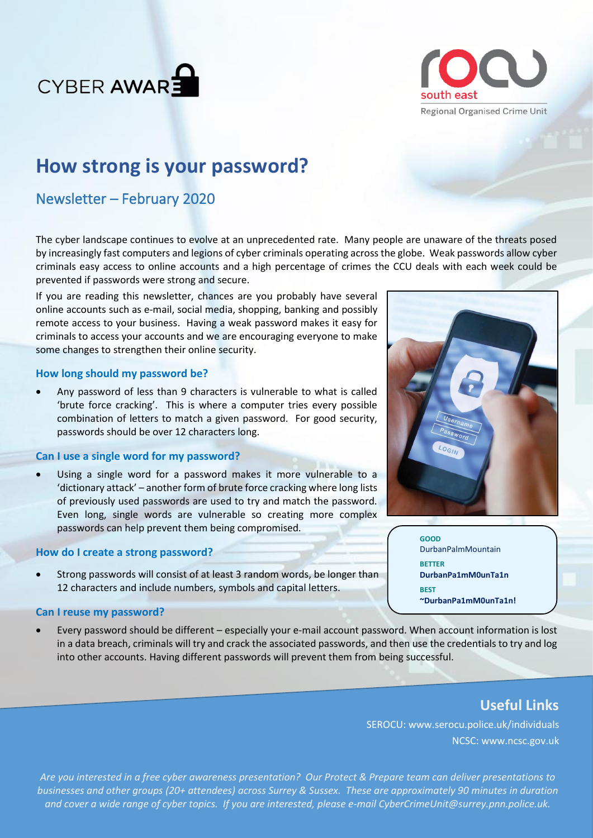



# **How strong is your password?**

# Newsletter – February 2020

The cyber landscape continues to evolve at an unprecedented rate. Many people are unaware of the threats posed by increasingly fast computers and legions of cyber criminals operating across the globe. Weak passwords allow cyber criminals easy access to online accounts and a high percentage of crimes the CCU deals with each week could be prevented if passwords were strong and secure.

If you are reading this newsletter, chances are you probably have several online accounts such as e-mail, social media, shopping, banking and possibly remote access to your business. Having a weak password makes it easy for criminals to access your accounts and we are encouraging everyone to make some changes to strengthen their online security.

### **How long should my password be?**

• Any password of less than 9 characters is vulnerable to what is called 'brute force cracking'. This is where a computer tries every possible combination of letters to match a given password. For good security, passwords should be over 12 characters long.

# **Can I use a single word for my password?**

• Using a single word for a password makes it more vulnerable to a 'dictionary attack' – another form of brute force cracking where long lists of previously used passwords are used to try and match the password. Even long, single words are vulnerable so creating more complex passwords can help prevent them being compromised.

### **How do I create a strong password?**

• Strong passwords will consist of at least 3 random words, be longer than 12 characters and include numbers, symbols and capital letters.

#### **Can I reuse my password?**

• Every password should be different – especially your e-mail account password. When account information is lost in a data breach, criminals will try and crack the associated passwords, and then use the credentials to try and log into other accounts. Having different passwords will prevent them from being successful.

# **Useful Links**

SEROCU: www.serocu.police.uk/individuals NCSC: www.ncsc.gov.uk

*Are you interested in a free cyber awareness presentation? Our Protect & Prepare team can deliver presentations to businesses and other groups (20+ attendees) across Surrey & Sussex. These are approximately 90 minutes in duration and cover a wide range of cyber topics. If you are interested, please e-mail CyberCrimeUnit@surrey.pnn.police.uk.*



**GOOD** DurbanPalmMountain **BETTER DurbanPa1mM0unTa1n BEST ~DurbanPa1mM0unTa1n!**